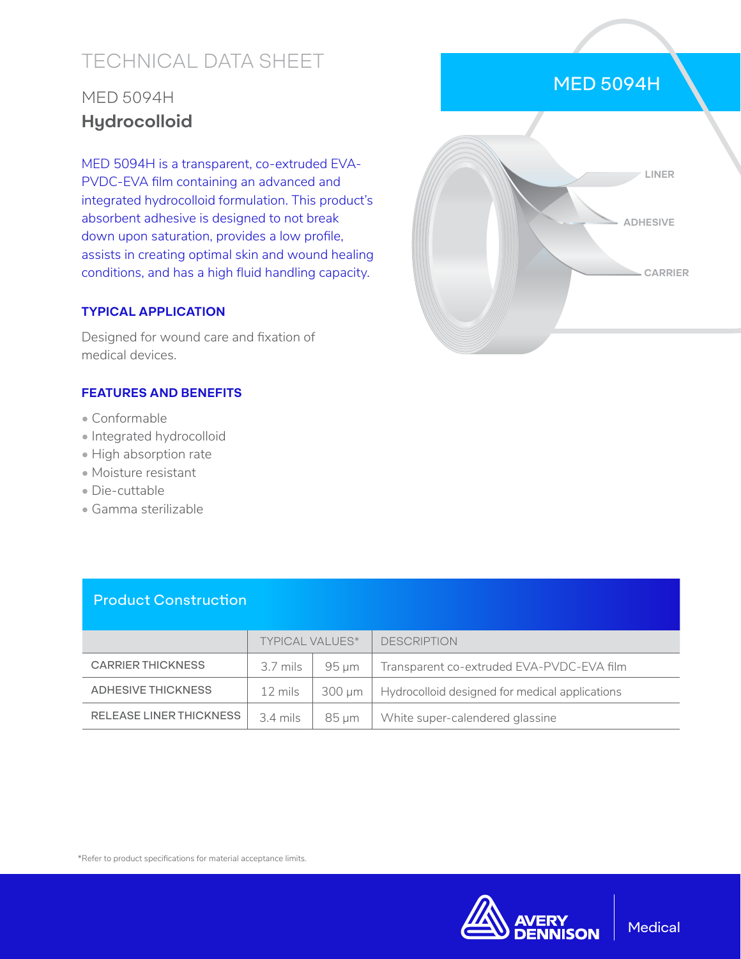# TECHNICAL DATA SHEET

## MED 5094H **Hydrocolloid**

MED 5094H is a transparent, co-extruded EVA-PVDC-EVA film containing an advanced and integrated hydrocolloid formulation. This product's absorbent adhesive is designed to not break down upon saturation, provides a low profile, assists in creating optimal skin and wound healing conditions, and has a high fluid handling capacity.

#### **TYPICAL APPLICATION**

Designed for wound care and fixation of medical devices.

#### **FEATURES AND BENEFITS**

- Conformable
- Integrated hydrocolloid
- High absorption rate
- Moisture resistant
- Die-cuttable
- Gamma sterilizable



MED 5094H

#### Product Construction

|                          | <b>TYPICAL VALUES*</b> |        | <b>DESCRIPTION</b>                             |
|--------------------------|------------------------|--------|------------------------------------------------|
| <b>CARRIER THICKNESS</b> | 3.7 mils               | 95 um  | Transparent co-extruded EVA-PVDC-EVA film      |
| ADHESIVE THICKNESS       | 12 mils                | 300 um | Hydrocolloid designed for medical applications |
| RELEASE LINER THICKNESS  | 3.4 mils               | 85 um  | White super-calendered glassine                |